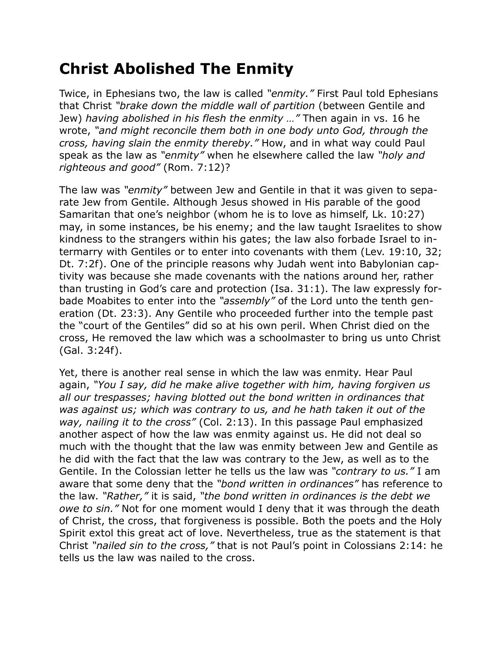## **Christ Abolished The Enmity**

Twice, in Ephesians two, the law is called *"enmity."* First Paul told Ephesians that Christ *"brake down the middle wall of partition* (between Gentile and Jew) *having abolished in his flesh the enmity …"* Then again in vs. 16 he wrote, *"and might reconcile them both in one body unto God, through the cross, having slain the enmity thereby."* How, and in what way could Paul speak as the law as *"enmity"* when he elsewhere called the law *"holy and righteous and good"* (Rom. 7:12)?

The law was *"enmity"* between Jew and Gentile in that it was given to separate Jew from Gentile. Although Jesus showed in His parable of the good Samaritan that one's neighbor (whom he is to love as himself, Lk. 10:27) may, in some instances, be his enemy; and the law taught Israelites to show kindness to the strangers within his gates; the law also forbade Israel to intermarry with Gentiles or to enter into covenants with them (Lev. 19:10, 32; Dt. 7:2f). One of the principle reasons why Judah went into Babylonian captivity was because she made covenants with the nations around her, rather than trusting in God's care and protection (Isa. 31:1). The law expressly forbade Moabites to enter into the *"assembly"* of the Lord unto the tenth generation (Dt. 23:3). Any Gentile who proceeded further into the temple past the "court of the Gentiles" did so at his own peril. When Christ died on the cross, He removed the law which was a schoolmaster to bring us unto Christ (Gal. 3:24f).

Yet, there is another real sense in which the law was enmity. Hear Paul again, *"You I say, did he make alive together with him, having forgiven us all our trespasses; having blotted out the bond written in ordinances that was against us; which was contrary to us, and he hath taken it out of the way, nailing it to the cross"* (Col. 2:13). In this passage Paul emphasized another aspect of how the law was enmity against us. He did not deal so much with the thought that the law was enmity between Jew and Gentile as he did with the fact that the law was contrary to the Jew, as well as to the Gentile. In the Colossian letter he tells us the law was *"contrary to us."* I am aware that some deny that the *"bond written in ordinances"* has reference to the law. *"Rather,"* it is said, *"the bond written in ordinances is the debt we owe to sin."* Not for one moment would I deny that it was through the death of Christ, the cross, that forgiveness is possible. Both the poets and the Holy Spirit extol this great act of love. Nevertheless, true as the statement is that Christ *"nailed sin to the cross,"* that is not Paul's point in Colossians 2:14: he tells us the law was nailed to the cross.